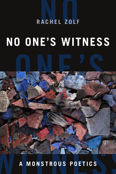# ACHEL ZOLF **RACHEL ZOLF**

## **NO ONE'S WITNESS**

ONE THE STREET

A MONSTROUS POETICS **A MONSTROUS POETICS**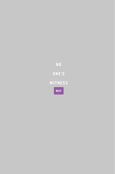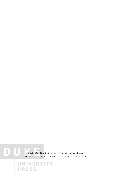7. **Black Outdoors** Innovations in the Poetics of Study A series edited by J. Kameron Carter and Sarah Jane Cervenak

UNIVERSITY

**PRESS** 

 $0$  l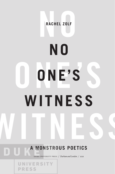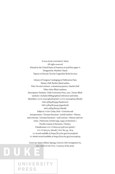© 2021 Duke University Press All rights reserved Printed in the United States of America on acid-free paper ∞ Designed by: Matthew Tauch Typeset in Portrait Text by Copperline Book Services

Library of Congress Cataloging-in-Publication Data Names: Zolf, Rachel, [date] author. Title: No one's witness : a monstrous poetics / Rachel Zolf. Other titles: Black outdoors. Description: Durham : Duke University Press, 2021. | Series: Black outdoors | Includes bibliographical references and index. Identifiers: LCCN 2020046228 (print) | LCCN 2020046229 (ebook) isbn 9781478013334 (hardcover) isbn 9781478014249 (paperback) isbn 9781478021551 (ebook) Subjects: LCSH: Celan, Paul-Criticism and interpretation. | German literature—Jewish authors—History and criticism. | German literature—20th century—History and criticism. | Holocaust, Jewish (1939–1945), in literature. | Psychic trauma in literature. | Poetics. Classification: LCC PT2605.E4 Z978 2021 (print) | LCC PT2605.E4 (ebook) | DDC 811/.54-dc23 LC record available at https://lccn.loc.gov/2020046228 lc ebook record available at https://lccn.loc.gov/2020046229

Cover art: James Allister Sprang, *Concrete Color Arrangement #12*, 2017. Archival Ink Print. Courtesy of the artist.

UNIVERSITY

**PRESS**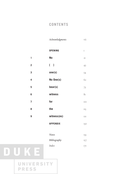#### **CONTENTS**

|                         | Acknowledgments                   | vii              |
|-------------------------|-----------------------------------|------------------|
|                         | <b>OPENING</b>                    | I                |
| 1                       | N <sub>o</sub>                    | 2I               |
| $\overline{\mathbf{2}}$ | $\begin{bmatrix} 1 \end{bmatrix}$ | 43               |
| 3                       | one(s)                            | 54               |
| 4                       | No One(s)                         | 62               |
| 5                       | bear(s)                           | 73               |
| 6                       | witness                           | $8I$             |
| 7                       | for                               | IOI              |
| 8                       | the                               | II <sub>3</sub>  |
| 9                       | witness(es)                       | I <sub>2</sub> I |
|                         | <b>APPENDIX</b>                   | 130              |

| Notes        | 133 |
|--------------|-----|
| Bibliography | 157 |
| Index        | I7I |

## DUKE UNIVERSITY

**PRESS**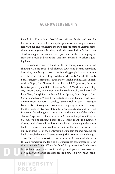#### **ACKNOWLEDGMENTS**

I would first like to thank Fred Moten, brilliant thinker and poet, for his crucial writing and friendship, for generously entering a conversation with me, and for helping me push past the third to a fleshly something (no-thing) more. My deep gratitude also to Judith Butler for her steadfast support for my work as a poet and thinker, for helping me trust that I could be both at the same time, and for her work as a guiding force.

Tremendous thanks to Elena Basile for reading several drafts and thinking with me as this book changed course and became something (no-thing) new. Many thanks to the following people for conversations over the years that have deepened this work: Emily Abendroth, Emily Beall, Margaret Christakos, Moyra Davey, Sarah Dowling, Laura Elrick, Andrea Geyer, Che Gossett, Sharon Hayes, Jeff T. Johnson, Eunsong Kim, Gregory Laynor, Robert Majzels, Airea D. Matthews, Laura Meyers, Marcia Oliver, M. NourbeSe Philip, Heike Raschl, Ariel Resnikoff, Lytle Shaw, Cheryl Sourkes, James Allister Sprang, Emma Stapely, Fenn Stewart, and Divya Victor. My gratitude to Glenn Ligon, Dread Scott, Sharon Hayes, Richard L. Copley, Laura Elrick, Bracha L. Ettinger, James Allister Sprang, and Bhanu Kapil for giving me access to images for this book, to Stephen Motika for image assistance, and to Gregg Bordowitz for helping with contacts. An earlier version of the study in chapter 6 appears in different form in *A Forest on Many Stems: Essays on the Poet's Novel* (Nightboat Books, 2021). Finally, thanks to J. Kameron Carter, Sarah Cervenak, and Ken Wissoker for believing in this queer book, to the anonymous readers for their feedback, and to Annie Lubinsky and the rest of the hardworking Duke staff for shepherding the book through the press. Thanks also to Josh Rutner for the indexing.

*No One's Witness* was written over a number of years in which I went through numerous challenging life experiences compressed into too short a period of time: difficult deaths of all my immediate family members and one friend, relationship breakups, multiple moves across a border, immigration issues, graduate school, a new job, a new relationship,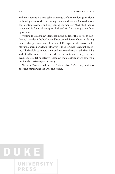and, most recently, a new baby. I am so grateful to my love Julia Bloch for bearing witness with me through much of this—and for assiduously commenting on drafts and copyediting the monster! Most of all thanks to you and Rafa and all our queer kith and kin for creating a new family with me.

Writing these acknowledgments in the midst of the COVID-19 pandemic, I wonder if the book would have been different if written during or after this particular end of the world. Perhaps, but the swarm, field, plenum, chorus persists, insists, even if the No Ones touch not touching. The book lives in now-time, and as a friend wisely said when Julia and I finally decided to let the other creature in our family, the oneeyed semiferal feline (Heavy) Meadow, roam outside every day, it's a profound experience just letting go.

*No One's Witness* is dedicated to Akilah Oliver (1961–2011), luminous poet and thinker and No One and friend.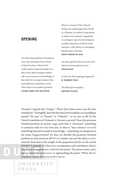#### **OPENING**

Can this being together in homelessness, this interplay of the refusal of what has been refused, this undercommon appositionality, be a place from which emerges neither self-consciousness nor knowledge of the other but an improvisation that proceeds from somewhere on the other side of an unasked question? **STEFANO HARNEY AND FRED MOTEN**

What if, instead of The Ordered World, we could imagine The World as a Plenum, an infinite composition in which each existant's singularity is contingent upon its becoming one possible expression of all the other existants, with which it is entangled beyond space and time. **DENISE FERREIRA DA SILVA**

are there greeters there [are you one] when we former ghosts arrive **AKILAH OLIVER**

Could it be that language happened? **M. NOURBESE PHILIP**

The flesh gives empathy. **HORTENSE SPILLERS**

*Niemand / zeugt für den / Zeugen*. 1 "These three lines resist even the best translation."2 In English, does the first line/word translate as a (non)figure named "No one" or "Noone" or "Nobody"—or no one at all? In the French translation of *Niemand*, is *Personne* a person? Does this pronoun *Niemand* perform an action, *zeugt*, such that it "witnesses" something or someone with its very own eyes, or does it "bear witness" to or for something beyond normative knowledge—something encompassed in the noun *Zeugen*/witness? Or does (or should) the pronoun *Niemand* perform no such action at all? Or is it neither one nor the other, *ne-utre*, neutral? And what is the weight of the preposition *für*/for or the article *den*/the? A panoply of inflections accompanies each translation choice, long before interpretation confronts the poem. The poem resists, and a messy resistancy is necessary to approaching the poem.<sup>3</sup> When the interpreters arrive, the poem prefers not to.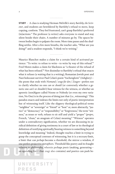2 OPENING

**STUDY ·** A class is studying Herman Melville's story *Bartleby, the Scrivener*, and students are bewildered by Bartleby's refusal to move, keep copying, conform. They feel frustrated, can't grasp Bartleby's preferred (in)actions.4 The professor (a writer) asks everyone to stand and stay silent beside their chairs. A number of minutes go by. The spaces between bodies begin to palpate the room. More time passes and the shuffling settles. After a few more breaths, the teacher asks, "What are you doing?" and a student responds, "I think we're writing."

Maurice Blanchot makes a claim for a certain kind of activated patience: "To write: to refuse to write—to write by way of this refusal."5 Fred Moten makes a claim for blackness as "a theater of the refusal of what has been refused."6 Not dissimilar to Bartleby's refusal that enacts what it refuses (a waiting that is a writing), Romanian Jewish poet and Nazi holocaust survivor Paul Celan's poem "Aschenglorie" (Ashglory) the poem that ends with *Niemand / zeugt für den / Zeugen—*prefers not to clarify whether no one *can* or *should* (or conversely whether a generic one *can't* or *shouldn't*) bear witness for the witness, or whether an aporetic (non)figure called Noone or Nobody (or even my own variation, No One) is in the process of doing just that (i.e., witnessing).7 This paradox enacts and indexes the limits not only of poetic interpretation but of witnessing itself. Like the slippery theological-political terms "neighbor" or "sovereign" or "friend" or "host" or, more abstractly, "justice" or "democracy" or "responsibility" or "forgiveness," the term "witness," as noun or verb, refuses to sit still and yield a "proper" (*propre*, French, "clean," an anagram of Celan) meaning.<sup>8</sup> "Witness" operates under a contradictory signification, whether we are discussing its juridical definition of giving testimony in a court of law or its theological definition of testifying spiritually/bearing witness to something beyond knowledge and meaning.<sup>9</sup> Indeed, thought reaches a limit in trying to grasp the conceptual contours of witnessing, but it is a *necessary* limit, a limit that can *perhaps* become a threshold, the mirror a window, if one prefers projective metaphors. Threshold like poetry and its fraught relation to philosophy, wherein perhaps *poesis* (making, generating an upending force that *zeugt* also contains) and poetics can push be-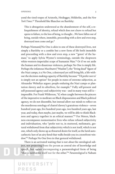yond the tired tropes of Aristotle, Heidegger, Hölderlin, and the *New York Times*. 10 Threshold like Blanchot on Bartleby:

This is abnegation understood as the abandonment of the self, a relinquishment of identity, refusal which does not cleave to refusal but opens to failure, to the loss of being, to thought....We have fallen out of being, outside where, immobile, proceeding with a slow and even step, destroyed men come and go.<sup>11</sup>

Perhaps Niemand/No One is akin to one of these destroyed lives, not simply a Bartleby or a zombie but a new form of life both immobile and proceeding with a slow and even step, a new "'genre' of the human," to apply Sylvia Wynter's terminology, outside the shopworn white-western-imperialist scope of humanist Man.<sup>12</sup> Or if we set aside the human and its disastrous violences, perhaps No One is simply life. Perhaps the infamous *Muselmann* ("Muslim"), the "living dead" figure of the Nazi camps, is a No One, a destroyed yet still living life, a life without the decision-making capacity of Bartleby because "'I'd prefer not to' is simply not an option" for people in states of extreme subjection, as Alexander Weheliye argues: people enduring the Nazi camps or plantation slavery and its afterlives, for example.<sup>13</sup> Fully self-present and self-possessed agency and subjectivity was—and in many ways still is impossible. For Frank Wilderson, "if, when caught between the pincers of the imperative to meditate on Black dispossession and Black political agency, we do not dissemble, but instead allow our minds to reflect on the murderous ontology of chattel slavery's gratuitous violence—seven hundred years ago, five hundred years ago, two hundred years ago, last year, and today, then maybe, just maybe, we will be able to think Blackness and agency together in an ethical manner."14 For Moten, blackness encompasses nonnormative lives who refuse refused subjectivity and individuation, who "prefer not to, in stuttered, melismatic, gestural withdrawal from that subjectivity which is not itself, which is not one, which only shows up as thwarted desire for itself, as the lurid autocathectic lure of an airy fiend that walks beside you in a storefront window."15 Perhaps No One lives in that gestural withdrawal.

There is an activated waiting that is not *about* the ontological subject, not projecting from the person as central site of knowledge and speech, but rather encompassing a paraontological form of being "that is neither for itself nor for the other."16 *Paraontological* is Nahum

UNIVERSITY

**PRESS**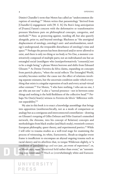Dimitri Chandler's term that Moten has called an "undercommon disruption of ontology."17 Moten writes that paraontology "derived from [Chandler's] engagement with [W. E. B.] Du Bois's long anticipation of [Frantz] Fanon's concern with the deformative or transformative pressure blackness puts on philosophical concepts, categories, and methods."18 Para- as protecting against, warding off, but also queerly alongside, prior to, and beyond ontology. Blackness as "the anoriginal displacement of ontology…ontology's anti- and antefoundation, ontology's underground, the irreparable disturbance of ontology's time and space."19 Perhaps the person has been destroyed and/or never allowed to exist, and there is only no-thing or no-body or No One, a monster constitutively composed of multiple parts; not an individuated one but an entangled social (non)figure who (non)performatively "consent[s] not to be a single being," a phrase Moten borrows and shifts from Édouard Glissant.20 As Denise Ferreira da Silva claims, expanding on concepts from particle physics, "when the social reflects The Entangled World, sociality becomes neither the cause nor the effect of relations involving separate existants, but the uncertain condition under which everything that exists is a singular expression of each and every actual-virtual other existant."<sup>21</sup> For Moten, "I who have nothing, I who am no one, I am who am not one" is also a "surreal presence—not in between some things and nothing is the held fleshliness of the collective head."<sup>22</sup> Perhaps No One(s) bear(s) witness to Ferreira da Silva's "difference without separability."23

My aim in this book is to enact a knowledge assemblage that brings into apposition (nonhierarchically, not as a mode of comparison or analogy but as a contiguous and interconnected constellation—drawing on Glissant's torquing of Gilles Deleuze and Félix Guattari's enmeshed network, the rhizome, into his concept of Relation) concepts and methodologies from black studies (and black study), twentieth-century European philosophy, queer theory, and experimental poetics.<sup>24</sup> While I will refer to trauma studies as a well-trod stage for examining the process of witnessing, its white, Eurocentric, Shoah-as-singular-event frame is insufficient to encompass an abyssal ongoing trauma such as racial slavery and its afterlives that, to torque Wilderson slightly, is "a condition of [para]ontology and not just…an event of experience"; or, as Moten says, more "durational field rather than event," an "unremitting non-remittance."<sup>25</sup> Much as (overwhelmingly white and Eurocen-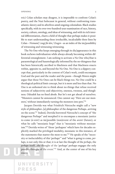tric) Celan scholars may disagree, it is impossible to confront Celan's poetry, and the Nazi holocaust in general, without confronting transatlantic slavery and its afterlives amid ongoing colonialism. Black studies specifically, with its over-two-hundred-year examination of race, history, society, culture, ontology, and ideas of witnessing, and with its rich internal differentiation, charts a field of thought that perhaps makes it possible to start understanding these irreducible, incalculable three lines by Celan—*Niemand / zeugt für den / Zeugen—*as an index of the im/possibility of witnessing and witnessing witnessing.

The No One who keeps emerging through its dis/appearance in this book eschews individuation while always already becoming within differential entanglement. I am seeking to activate a No One who/that is paraontological and hauntologically informed by the no-thingness that has been historically ascribed to blackness and that blackness enacts within, apposite to, and beyond the No One. No One is a slippery concept that, particularly in the context of Celan's work, could encompass God and the poet and the reader and the poem—though Moten might argue that those No Ones can be black things too. No One could be a theological-political limit concept, but it is more and less than that. No One is an unhomed site to think about no-things that refuse received notions of subjectivity and objectivity, oneness, twoness, and thingliness. Odradek has no fixed abode. But let's not get ahead of ourselves. "Monsters cannot be announced. One cannot say: 'Here are our monsters,' without immediately turning the monsters into pets."26

Jacques Derrida was what Friedrich Nietzsche might call a "new style of philosopher…[a] philosopher of the dangerous Perhaps…arriving on the scene."27 Indeed, Derrida borrowed Nietzsche's concept of "the dangerous Perhaps" and morphed it to encompass a messianic justice to-come (*à-venir*) as im/possible (non)event of the *avenir* (future), or what he calls "messianic hope" that is "messianic without messianism."28 Derrida writes of "those 'perhapses' which have for decades explicitly marked the privileged modality, messianic in this instance, of the statements that matter the most to me."<sup>29</sup> He speaks of the "necessity or ineluctability of this 'perhaps'" and "what is going to come, *perhaps*, is not only this or that; it is at last the thought of the *perhaps*, the *perhaps* itself.…the thought of the 'perhaps' perhaps engages the only possible thought of the event."<sup>30</sup> And, at the center of one of his key essays: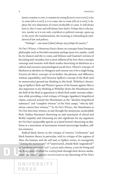Justice remains *to come*, it remains *by coming* [*la justice reste à venir*], it *has* to come [*elle a à venir*], it *is* to-come, the to-come [*elle* est *à-venir*], it deploys the very dimension of events irreducibly to come. It will always have it, this à-venir, and will always have had it. *Perhaps* this is why justice, insofar as it is not only a juridical or political concept, opens up to the *avenir* the transformation, the recasting or refounding [*la refondation*] of law and politics.

"Perhaps"—one must [*il faut*] always say *perhaps* for justice.31

*No One's Witness: A Monstrous Poetics* draws on concepts from European philosophy such as Derrida's messianic perhaps (*peut-être*,maybe, could be, by chance) and the to-come, and Deleuze and Guattari's notions of becoming and virtuality, but is most influenced by how these concepts converge and resonate with black studies theorizing on blackness as a radical and excessive paraontological social force. Moten's concepts of blackness as absolute no-thingness and consent not to be a single being; Ferreira da Silva's concepts of no-bodies, the plenum, and difference without separability; and Hortense Spillers's concept of the flesh (and its monstrosity) ground my thinking in this book. Weheliye's theorizing on Spillers's flesh and Wynter's genres of the human against Man is also important to my thinking as Weheliye draws the Muselmann into the field of the flesh in apposition to black flesh under extreme subjection while providing a vital critique of Giorgio Agamben's biopolitical claims centered around the Muselmann as the "absolute biopolitical substance" and "complete witness" of the Nazi camps, "who by definition cannot bear witness."32 In *No One's Witness*, the Muselmann as No One does bear witness, in and through the monstrous, incalculable flesh. Saidiya Hartman's theorizing on and enactment of choral and fleshly empathy and witnessing are also significant for my argument for No One's im/possible speech, as is Jared Sexton's theorizing on abolition as a movement of movements toward unsovereign landless, selfless existence.

Radical black theory as the critique of western "civilization" and black feminist theory in particular, with its critique of the regimes of Man, the human, and the self and, as Spillers writes, its insurgently "*claiming* the monstrosity" of "unprotected…female flesh 'ungendered'" as "a primary narrative" and "a praxis and a theory, a text for living and for dying, and a method for reading both through their diverse mediations," are crucial apposite interlocutors to my theorizing of No One's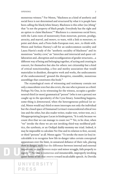monstrous witness.<sup>33</sup> For Moten, "blackness as a kind of aesthetic and social force is not determined and structured by what it is people have been calling the black/white binary. Blackness is this other (no-)thing" that "is not the property of black people. Everybody has the right and an option to claim blackness."34 Blackness is a monstrous social force, with the Latin roots of monstrosity from *monstrum*, portent, prodigy, atrocity, and marvel, and *monere*, to warn, with a link to *monstrare*, to point and show, and a Proto-Indo-European root, *men-*, to think with. Moten and Stefano Harney's call for an undercommon sociality and Laura Harris's study of the "aesthetic sociality of blackness" and its monstrous "motley crew," an "interclass and interracial and queer collaboration and…disruption and reconfiguration of gender structures....a different way of being and belonging together, of acting and creating in concert, for themselves but also for others: not citizenship but a kind of critical noncitizenship, a free and motley association that would materialize in dissident, disruptive work and works, the undocuments of the undocumented," ground the disruptive, ensemblic, monstrous assemblage that constitutes this book.<sup>35</sup>

The etymological roots of witnessing and testimony contain not only a masculinist *testes* but also *terstis*, the one who is present as a third. Perhaps No One, in its witnessing for the witness, occupies a genderneutral third (or more) grammatical "person" (who is not a person) not caught up in the specularity of the I-you binary. Something happens, some-thing is *demonstrated*, when the heterogeneous political (or social, Moten would say) third or more interrupts not only the individual but the closed space of Emmanuel Levinas's transcendental ethical two (me and the other, but also reader-writer, reader-text, writer-text, etc.). Misappropriating Jacques Lacan in kindergarten, "It is only because we count *three* that we can manage to count *two*."36 Yet, to be clear, when "we" invoke the three we are not invoking third-way neoliberal politics, the synthesis, or an Oedipal daddy-mommy-me triad. Indeed, it may be impossible to calculate No One and its relation to first, second, or third "persons" at all. Moten again: "To invoke the more (or less) incalculable is to recognize how life-in-danger takes certain conceptual apparatuses over the limit, in unnatural defiance of their rule, placing *them* in danger, such that the difference between internal and external imposition, or that between major and minor struggle, fails properly to signify."37 No One is numerous and innumerable, improperly invoking queer forms of life that swerve toward incalculable speech. As Derrida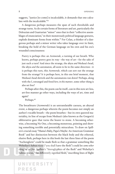8 OPENING

suggests, "justice [to come] is incalculable, it demands that one calculate with the incalculable."38

A dangerous perhaps measures the span of such thresholds and strange turns. As do certain forms of literature and art, particularly the Deleuzian and Guattarian "minor" ones that in their "collective assemblages of enunciation," in their monstrously political language gestures, explode dominant forms from within.<sup>39</sup> For Celan, a thinker of a dangerous perhaps and a minor writer who takes language over its limit, breaking the hold of the German language on his own and his era's wounded consciousness:

Poetry is perhaps this: an *Atemwende*, a turning of our breath. Who knows, perhaps poetry goes its way—the way of art—for the sake of just such a turn? And since the strange, the abyss *and* Medusa's head, the abyss *and* the automaton, all seem to lie in the same direction—it is perhaps this turn, this *Atemwende*, which can sort out the strange from the strange? It is perhaps here, in this one brief moment, that Medusa's head shrivels and the automatons run down? Perhaps, along with the I, estranged and freed *here, in this manner*, some other thing is also set free?

Perhaps after this, the poem can be itself…can in this now art-less, art-free manner go other ways, including the ways of art, time and again?

Perhaps.<sup>40</sup>

The breathturn (*Atemwende*) is an untranslatable caesura, an abyssal event, a dangerous perhaps wherein the poem becomes not simply an author's vocable breath—the poem breathes—but its own queered materiality, its line of escape from Medusa's (also known as the Gorgon's) obliterative gaze that turns the bearer to stone. A becoming otherwise, a becoming No One, a becoming monstrous, pointing and showing something terrible and potentially miraculous. To draw on Spillers's crucial essay "Mama's Baby, Papa's Maybe: An American Grammar Book" and her distinction between the black body and the ethereal, elusive flesh, perhaps here in this book the last three lines of the poem "Aschenglorie" could be made flesh so that a grammar something like Weheliye's *habeas viscus* ("you shall have the flesh") could let *some other thing* be *set free*. Spillers's "hieroglyphics of the flesh" and Weheliye's habeas viscus, "the differently signified flesh," inscribing lines of flight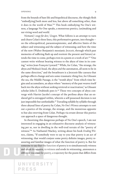from the bounds of bare life and biopolitical discourse, the thingly flesh "embod[ying] both more and less, but above all something other, than it does in the world of Man."41 This book embodying No One's witness, a language No One speaks, a monstrous poetics, (un)making and sur-viving word and world.

*Niemand / zeugt für den / Zeugen*. What follows is an attempt to turn and churn Celan's three lines, this performative gesture, into thought on the ethicopolitical, paraontoepistemic, and affective limits of the subject and witnessing and the subject of witnessing; and how the time of the now (Walter Benjamin's messianic *Jetztzeit*, through which past memories of suffering flash up and reorient the present and future) attends the time to come, perhaps even in a poem or a work of art.<sup>42</sup> "One cannot write without bearing witness to the abyss of time in its coming," writes Jean-François Lyotard.<sup>43</sup> While, for Celan, "the strange, the abyss *and* Medusa's head, the abyss *and* the automaton, all seem to lie in the same direction," and the breathturn is a Jetztzeit-like caesura that perhaps effects change and sets some-traumatic-thing free, for Glissant the sea, the Middle Passage, is the "womb abyss" from which time begins and accumulates, an abyss where "memory of the past weaves itself back *into* the abyss without seeking retrieval or reactivation," as Glissant scholar John E. Drabinski puts it.<sup>44</sup> These two concepts of abyss converge with Harriet Jacobs's concept of the perilous abyss that an enslaved girl is entrapped within, wherein a self-possessed decision is not just impossible but unthinkable.<sup>45</sup> Travailing syllable by syllable through three abyssal lines of poetry by Celan, *No One's Witness* attempts to sort out a poetics of the strange, the strange, and the monstrous apposite to but also swerving from Celan. Perhaps via errant detour this poetics can approach a space of dangerous thought.

In theorizing this dangerous perhaps of No One's speech, I am not interested in engaging in an exhaustive discourse analysis of witnessing per se, nor in dwelling in the well-trod terrain of the "poetry of witness."46 As Nathaniel Mackey, writing about his book *Eroding Witness*, claims, "If somebody were to say to you that poetry is an act of witnessing, that would conjure some pretty definite images, pretty reassuring and familiar images of what the function of poetry is. But for someone to say that the function of poetry is to simultaneously witness and erode its witness, to witness and erode its witnessing…announces a different vocation for poetry, a trajectory for the poem that differs from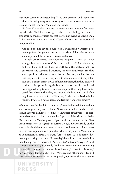10 OPENING

that more common understanding."47 No One performs and enacts this erosion, this eating away at witnessing and the witness—and the subject and the self, the one, Man, and the human.

*No One's Witness* also counters the knee-jerk association of witnessing with the Nazi holocaust, given the overwhelming Eurocentric emphasis in trauma studies on that particular event as exceptional. In *Discourse on Colonialism*, Aimé Césaire obliterates that notion of exceptionality:

And then one fine day the bourgeoisie is awakened by a terrific boomerang effect: the gestapos are busy, the prisons fill up, the torturers standing around the racks invent, refine, discuss.

People are surprised, they become indignant. They say: "How strange! But never mind—it's Nazism, it will pass!" And they wait, and they hope; and they hide the truth from themselves, that it is barbarism, the supreme barbarism, the crowning barbarism that sums up all the daily barbarisms; that it is Nazism, yes, but that before they were its victims, they were its accomplices; that they tolerated that Nazism before it was inflicted on them, that they absolved it, shut their eyes to it, legitimized it, because, until then, it had been applied only to non-European peoples; that they have cultivated that Nazism, that they are responsible for it, and that before engulfing the whole edifice of Western, Christian civilization in its reddened waters, it oozes, seeps, and trickles from every crack.<sup>48</sup>

While writing this book in a time and place (the United States) where waters always already ooze red, and Nazism, internalized and externalized, spills over, I am interested in certain usages of the witness as a figure and concept, particularly Agamben's yoking of the witness with the Muselmann, the "'walking corpse' par excellence" inmate of the Nazi death camps who, in Agamben's formulation, is always already on the way to death without any spark of life to dwell in or on.<sup>49</sup> I am interested in how Agamben can publish a whole study on the Muselmann as a quintessential *homo sacer* figure (a sacred man, i.e., a disposable human representing bare, mere life in today's biopolitical context—in Roman law a person so debased he "*may be killed and yet not sacrificed*") and "complete witness" (i.e., already dead nonwitness) without examining the racialized nature of the term Muselmann (German for "Muslim," now considered a racial slur) that Weheliye and others point to, and that term's reverberations with real people, not just in the Nazi camps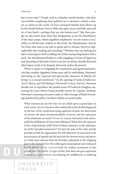#### OPENING 11

but in now-time.<sup>50</sup> People such as a Muslim suicide bomber, who after successfully completing their political act is deemed a *shahīd*, a martyr or *witness* to the truth. Or four unnamed Muslim boys blown up by the Israeli Defense Forces while they play soccer and hide-and-seek on a Gaza beach—perhaps they are also *homines sacri*. 51 But these people are also much more than that designation, as are the *Muselmänner* of the Nazi camps, whom Agamben emphasizes "no one wants to see," while, as will become evident in this book, the Muselmänner may be No Ones who *want* to see and to speak and to witness, however indecipherable their looking and sounding.<sup>52</sup> Whether they are kicking the ball or hunting for food or falling out of line and getting beaten with a stick, the Muselmann/Muslim is a life engaging in forms of fugitivity and dreaming of alternate futures, not just an always already dead and silent figure ready to be donned, dissected, and/or disavowed.

When it comes to re-figuring the constitutive and operational protocols that racialize Agamben's homo sacer and its unfreedoms, Hartman's theorizing on the "spectral and spectacular character of [black] suffering" is a crucial touchstone.<sup>53</sup> In the opening of *Scenes of Subjection*: *Terror, Slavery, and Self-Making in Nineteenth-Century America*, Hartman decides not to reproduce the primal scene of Frederick Douglass witnessing his Aunt Hester being brutally beaten by Captain Anthony. Hartman's reasoning resonates today as video footage of black lives being murdered by police circulates widely on social media:

What interests me are the ways we are called upon to participate in such scenes. Are we witnesses who confirm the truth of what happened in the face of the world-destroying capacities of pain, the distortions of torture, the sheer unrepresentability of terror, and the repression of the dominant accounts? Or are we voyeurs fascinated with and repelled by exhibitions of terror and sufferance? What does the exposure of the violated body yield? Proof of black sentience or the inhumanity of the "peculiar institution"? Or does the pain of the other merely provide us with the opportunity for self-reflection? At issue here is *the precariousness of empathy and the uncertain line between witness and spectator*. Only more obscene than the brutality unleashed at the whipping post is the demand that this suffering be materialized and evidenced by the display of the tortured body for endless recitations of the ghastly and the terrible. In light of this, how does one give expression to these outrages without exacerbating the indifference to suffering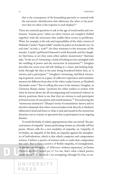that is the consequence of the benumbing spectacle or contend with the narcissistic identification that obliterates the other or the prurience that too often is the response to such displays?<sup>54</sup>

These are essential questions to ask in the age of social media and continuous "trauma porn," when too often viewers are complicit (folded together) with the structures that enable these scenes to proliferate. What, for example, is the role and responsibility of the white viewers of Philando Castile's "hypervisible" murder by police on Facebook Live "in real time" on July 2, 2016?<sup>55</sup> Are they witnesses to the witnesses of the murder, Castile's girlfriend Diamond Lavish Reynolds and her daughter Dae'Anna, or are they some other sadistic monstrosity? Hartman asks, "Is the act of 'witnessing' a kind of looking no less entangled with the wielding of power and the extraction of enjoyment?"56 Douglass describes his seven-year-old self, hiding in a closet and looking helplessly through the slats at his aunt being brutalized before him, as "a witness and a participant."<sup>57</sup> Douglass's witnessing, and black witnessing in general, occurs in a space of collective experience and traumatic memory far different from that of the white reader/viewer, as Elizabeth Alexander notes.<sup>58</sup> But in telling this story in his memoir, Douglass, as Christina Sharpe claims, "positions his white readers to reckon with what he knows about the all-encompassing and routinized violence in slavery, positions them to see that they are witness to and participant in brutal scenes of conception and transformation."59 Encountering the "monstrous intimacies" (Sharpe's term) of transatlantic slavery and its afterlives demands that white viewers/readers look directly at Medusa's obliterative head and listen to what is said and unsaid in the monstrous duration, not as voyeurs or spectators but as participants in an ongoing disaster.

To avoid the kinds of violent appropriations that can attend "the precariousness of empathy" means performing witness as a literally self-less praxis. Moten calls for a new modality of empathy, an "empathy of no-bodies, an empathy of the flesh, an empathy against the metaphysics of Individuation, which is that which comprises and compromises witness. I believe a poetics of witness seeks to undo that compromise but can't. But is there a poetics of fleshly empathy, of entanglement, of absolute no-thingness, of 'difference without separation,' as Denise [Ferreira da Silva] would put it? For me, that's what a black poetics would enact."60 In this book I am attempting, through No One, to tra-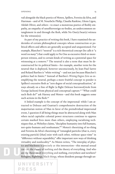vail alongside the black poetics of Moten, Spillers, Ferreira da Silva, and Hartman—and of M. NourbeSe Philip, Claudia Rankine, Glenn Ligon, Akilah Oliver, and others—to enact a monstrous poetics of fleshly empathy, an empathy of unselfsovereign no-bodies, an undercommon entanglement in and through the flesh, while No One(s) bear(s) witness for the witness(es).

As part of my practice of writing this book, I have examined the undersides of certain philosophical concepts whose construction or political effects and affects are generally accepted and unquestioned. For example, Blanchot's "neutral" is a rich theoretical concept (he calls it "a word *too many*") that could apply to No One as excessive third-or-moreperson witness, and to certain kinds of writing as a potential space for witnessing at a remove.<sup>61</sup> The neutral is also a term that must be deconstructed for its political limits—for example, another term for the neutral that is deployed, however unconsciously, by Jean-Paul Sartre and Roland Barthes is "white writing"—and not just because Blanchot's politics had its limits.62 Instead of Barthes's *Writing Degree Zero* as exemplifying the neutral, perhaps a more fruitful concept to ponder is Spillers's excessive flesh as "zero degree of social conceptualization," always already on a line of flight (a flight Deleuze borrowed/stole from George Jackson) from physical and conceptual capture.<sup>63</sup> "What could such flesh do?" ask Harney and Moten—and this book suggests some such actions in the flesh.<sup>64</sup>

A linked example is the concept of the impersonal: while I am attracted to Deleuze and Guattari's comprehensive destruction of the majoritarian notion of Man in favor of the preindividual impersonal event, I question if all being-things must be abstracted along with Man when racial capitalist colonial power structures continue to oppress certain marked lives more than others, employing racializing techniques that, as Weheliye claims, "discipline humanity into full humans, not-quite-humans and nonhumans."65 Moten's theorizing of no-thing and Ferreira da Silva's theorizing of "entangled particles (that is, every existing particle) [that] exist with each other, without space-time" in "difference without separability" offer important new ways of thinking virtuality and nonlocality.<sup>66</sup> As Moten writes, "The interplay of physics and blackness is precisely at this intersection—this mutual sexual cut—of the theory of nothing and the theory of everything. And who are the theorists of everything and nothing, everywhere and nowhere? Refugees, flightlings, black things, whose dissident passage through un-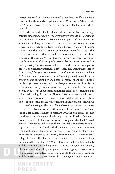derstanding is often taken for a kind of lawless freedom."67 No One is a theorist of nothing and everything, of what Celan deems "the eternalized Nowhere, here, / in the memory of the over- / loud bells in—where only?"68

The thrust of this book, which makes its own dissident passage through understanding, is not to exhaustively propose one argument but to enact a monstrous assemblage composed of heterogeneous strands of thinking in response to questions such as: What happens when the incalculable political (or social) three or more or Moten's "more + less than one" or some combination thereof interrupts the ethical one or two—what precisely happens when No One *does* bear witness for the witness?<sup>69</sup> How does the human's supposedly constitutive formation in relation signify beyond the Levinasian face-to-face hostage-taking/caress of transcendental me and transcendental you as other? The neighbor/witness, the unavoidably immanent other other or "third party," always already interrupts "our" ecstatic embrace, making "us" beside ourselves (*ek-stasis*, Greek, "standing outside oneself ") with confusion and vulnerability and potential radical openness.<sup>70</sup> But the neighbor you love to hate across the always already white picket fence is understood as neighbor only insofar as they are deemed a some-thing, a some-body. What about forms of nothing, forms of not standing but collectively falling? Moten and Harney: "We fall so we can fall again, which is what ascension really means to us. To fall is to lose one's place, to lose the place that makes one, to relinquish the locus of being, which is to say of being single. This radical homelessness—its kinetic indigeneity, its irreducible queerness—is the essence of blackness."71 This "sharing of a life in homelessness" is resonant with the non-Zionist secular Jewish messianic thought and writing practices of Derrida, Benjamin, Franz Kafka, and Celan that I draw on throughout this book.<sup>72</sup> Jared Sexton writes about abolition as "the interminable radicalization of every radical movement," and with this radicalization comes an unsovereign unhoming: "No ground for identity, no ground to stand (on). Everyone has a claim to everything until no one has a claim to anything. No claim….The flesh of the earth demands it: the landless inhabitation of selfless existence."73 What follows and folds and falls and fails and fleshes is No One making a claim to a theorizing without a claim, No One as an im/possible, anoriginal, paraontological, emergent form of life queering normative ways of thinking life, the subject, witnessing, and form itself. This gesture toward the emergent is not a modernist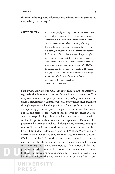thrust into the prophetic wilderness; it is a future anterior push at the now, a dangerous perhaps.74

**A NOTE ON FORM** In this scenography, nothing comes on the scene punctually. Nothing comes on the scene on its own terms; which is to say, it comes on the scene on other terms. Distinctions move laterally or obversely vibrating through chains and networks of associations. It is in this lateral, or obverse, movement that we can describe the formation of form. Everything in this paragraph moves by indirection. Nothing settles down. Form would be deflection as indirection; for each movement is inflected back into itself, doubled and redoubled by the differences that organize its formation. The prose itself, by its syntax and the con*fusions* of its meanings, remain not only the site of a question, but the very movement or form of a question. **NAHUM DIMITRI CHANDLER**

I am a poet, and with this book I am presenting *un essai*, an attempt, a try, a trial that is exposed to its own failure, like all language acts. This essay comes from a lineage of poetics writing, *makings* in form and theorizing, enactments of literary, political, and philosophical argument through experimental and improvisatory language forms rather than via expository persuasive prose. The poetic is not unlike blackness as a social and aesthetic force that upends received categories and concepts and ways of being. It is no wonder that Aristotle tried in vain to contain the poetic within his taxonomic organon and Plato banished poets from his utopian Republic. The long history of poetics writing in western literature includes works from a vast range of poet-thinkers, from Philip Sidney, Alexander Pope, and William Wordsworth to Gertrude Stein, Charles Olson, Amiri Baraka, and Moten, Glissant, Césaire, and Celan.<sup>75</sup> The works of poetics by these writers and many more are deeply scholarly while operating outside of, and in many cases rejecting, the accumulative rigidity of normative scholarly apparatuses, whether from the Renaissance, the Romantic era, or now. In these works, the distinctions among poetry, criticism, and theory blur to such a degree that any taxonomic desire becomes fruitless and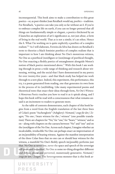inconsequential. This book aims to make a contribution to this great poetics—or, as poet-thinker Joan Retallack would say, *poethics*—tradition. For Retallack, "a poetics can take you only so far without an *h*. If you're to embrace complex life on earth, if you can no longer pretend that all things are fundamentally simple or elegant, a poetics thickened by an *h* launches an exploration of art's significance *as*, not just *about*, a form of living in the real world. That *as* is not a simile; it's an ethos. Hence the *h*. What I'm working on is quite explicitly a poethics of a complex realism."76 As I will elaborate, Ferreira da Silva has drawn on Retallack's term to theorize a black feminist poethics of complex realism that is important to how I am thinking about No One's monstrous witness, No One as a poethical (non)figure or (non)image of poethical thought, No One enacting a fleshly poetics of entanglement alongside Moten's notion of black poetics mentioned above.<sup>77</sup> With this book I am working through in prose a wide range of thinking and research about witnessing, writing, and the social that I have demonstrated in my poetry for over twenty-five years—and that black study has helped me work through to a new place. Indeed, this experiment, this performance, this try, *is* a poem generated from reading, one that generates its own form in the process of its (un)folding. Like many experimental poems and theoretical texts that enact their ideas through form, *No One's Witness: A Monstrous Poetics* teaches you how to read it as it spirals along, and I hope this book will be read with a consciousness that what remains unsaid is an incitement to readers to generate more.

As the table of contents demonstrates, each chapter of this book begins from a word from the English translation of the last three lines of Celan's poem "Aschenglorie" (Ashglory): *Niemand / zeugt für den / Zeugen*; "No one / bears witness for the / witness" (one possible translation).There are chapters for "No," for "one," for "bears," "witness," and so on—along with chapters on the caesura between "No" and "one" and on the (non)figure of the No One. Across each chapter, I imagine whether an incalculable, irreducible No One can perhaps enact an improvisation of an im/possibility of bearing witness. Against the manifest interpretation of the three Celan lines that no one can or should bear witness for the witness, a manifold No One's fleshly speech im/possibly performs just that. No One as never one, never the space and speech of the sovereign self-possessed individual, No One as some no-thing altogether different and diffuse, plural and perverted, monstrously generative. *Niemand / zeugt für den / Zeugen*. The heterogeneous monster that is this book ar-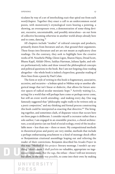ticulates by way of a set of interlocking *essais* that spiral out from each word/chapter. Together they enact a call to an undercommon social poesis, with monstrosity's etymological roots bearing a pointing, a showing, an overexposure even, a demonstration of some-thing deviant, excessive, uncontainable, and possibly miraculous—an out form of collective becoming otherwise in another world always already here and to come, dancing.<sup>78</sup>

All chapters include "studies" of cultural concepts and products, primarily drawn from literature and art, that ground their arguments. These forays into literature and art are not meant as explicatory close readings. On the contrary, they seek to highlight how the creative works of M. NourbeSe Philip, Glenn Ligon, Sharon Hayes, Dread Scott, Bhanu Kapil, Akilah Oliver, Saidiya Hartman, Juliana Spahr, and others performatively index and draw toward the philosophical concepts and political questions in the book. But I am not forgoing close reading altogether—the whole book is indeed a hyperclose, granular reading of three lines from a poem by Paul Celan.

The form or style of writing in this book is fragmentary, associative, accretive, and recursive—a lesbian spiral or Möbius strip or another allegorical image that isn't linear or dialectic, that allows for future anterior spaces of radical secular messianic hope.79 Actively waiting (i.e., acting) for a world that will perhaps have come or perhaps never come, but still an event worth attending—and making every day. One wag famously suggested that "philosophy ought really to be written only as a *poetic composition*," and my thinking and formal process constructing this book could be interpreted as enacting that directive.<sup>80</sup> The bringing together, and sometimes clash, of disparate voices that occurs here on these pages is deliberate. I consider myself a cocreator rather than a solo author; I am engaged in an ensemblic practice, a choral architecture, a social poetics (an out kind of social ecology, even) of the incalculable more + less than one + three or more. My compositional methods in theoretical prose and poetry are very similar, methods that include a perhaps embarrassing attachment to a kind of montage shock effect or Benjaminian citational assemblage leaping out and relieving the reader of their convictions. Benjamin described his *Arcades Project* in this way: "Method of this project: literary montage. I needn't *say* anything. Merely show. I shall purloin no valuables, appropriate no ingenious formulations. But the rags, the refuse—these I will not inventory but allow, in the only way possible, to come into their own: by making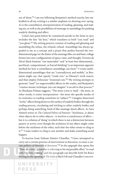use of them."81 I am not following Benjamin's method exactly, but embedded in all my writing is a similar emphasis on showing over saying. As is the constellatory interpenetration of reading, gleaning, and making use, as well as the possibilities of montage or assemblage for pushing readerly thinking and affect.

Celan's last poem before he committed suicide in the Seine in 1970 includes the line "du liest," which translates as both "you read" and "you glean."82 My writing practice consists of reading and gleaning and assembling the refuse, the refused, refusal. Assemblage has always appealed to me as a concept and a praxis that pushes beyond the twodimensional page (or the limits of the montage film cut and basic collage forms) into new configurations of space, time, and thought. Ferreira da Silva's black feminist "raw materialist" and "at least four dimensional… poethical…compositional…or fractal thinking" is an important apposite method for how a constellatory assemblage can form.<sup>83</sup> I create multidimensional assemblages that are "contradictory and mobile," as Benjamin might say; that openly "evade rest," as Glissant's work enacts; and that employ Deleuzian "irrational cuts."84 My writing attempts to generate "mad" (or ungovernable) affects in the reader, and Benjamin's "craziest mosaic technique you can imagine" is an aid to that process.<sup>85</sup> As Shoshana Felman suggests, "The more a text is 'mad'—the more, in other words, it resists interpretation—the more the specific modes of its resistance to reading constitute its 'subject."86 I imagine disavowed "sticky" affects being drawn to the surface of readerly bodies through the reading process, circulating and sticking to other readerly bodies and perhaps doing something, kind of like montage shock affects. As Sara Ahmed writes in *The Cultural Politics of Emotion*: "Stickiness…is about what objects do to other objects—it involves a transference of affect but it is a relation of 'doing' in which there is not a distinction between passive or active, even though the stickiness of one object might come before the stickiness of the other, such that the other seems to cling to it."87 I want readers to cling to one another and make something social happen.

To borrow from Nahum Dimitri Chandler, "I have attempted to carry out a certain practice of intervention in discourse, to enact a certain politics of theoretical discourse."<sup>88</sup> In the epigraph that opens this "Note on Form," Chandler is referring to his im/possible effort "to read with Du Bois; writing," and the paragraph can describe both Du Bois's writing in the opening of *The Souls of Black Folk* and Chandler's *own writ-*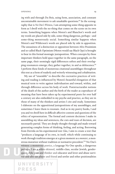*ing* with and through Du Bois, using form, association, and constant uncontainable movement to ask unaskable questions.<sup>89</sup> In the scenography that is *No One's Witness*, I am attempting some-thing apposite in form as I dwell with the no-thing that comes on the scene on its own terms. Something happens when Moten's and Blanchot's words and my words are placed side by side, some-thing dangerous, perhaps—and some-thing monstrously social. Something similar happens when Moten's and Wilderson's words are placed side by side in apposition. The uneasiness of a distinction or opposition between Afro-Pessimism and so-called Black Optimism (Moten would say Black Ops) is brought to bear in this formal montagic juxtaposition. When concepts by these important thinkers hold space together in the same paragraph, on the same page, their seemingly rigid differences soften and their overlapping resonances emerge; they gather together, in and as dehiscence.<sup>90</sup> I perform these kinds of monstrous citational assemblages throughout this text as a form of readerly and writerly witnessing and cohabitation.

My use of "ensemble" to describe the cocreative practices of writing and reading is influenced by Moten's beautiful elongation of that musical term to write against individuation and toward, within, and through difference across his body of work. Poststructuralist notions of the death of the author and the birth of the reader as coproducer of meaning that have been taken up by experimental poets for over half a century are also embedded in my psyche and practice, as they are in those of many of the thinkers and artists I cite and study. Sometimes I elaborate on the appositional juxtapositions of my assemblages, and sometimes I leave them to resonate. And as in my poetry books, I and you and we dwell here in difficult affective content and questions of the ethics of representation. The formal and content decisions I make in assembling my ideas and sentences, the cuts and tears of decision, are necessarily partial. They are deeply thought through and made toward generating complex forms of thinking, feeling, and acting. Borrowing from Derrida on his experimental text *Glas*, I aim to create a text that "produces a language of its own, in itself, which while continuing to work through tradition emerges at a given moment as a *monster*, a monstrous mutation without tradition or normative precedent."91 No One's witness: a monstrous poetics, a language No One speaks, a dangerous perhaps. I am a white-skinned, middle-class, secular Jewish, genderqueer, dyke poet and thinker and educator and lover and abuse survivor and alto sax player and friend and settler and other positionalities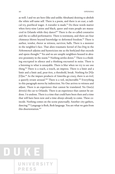as well. I and we are here (like and unlike Abraham) desiring to abolish the white self-same self. There is a poem, and there is *un essai*, a radical try, poethical wager. A travailer is made. $92$  Do these words matter when forty-nine Latinx and black, queer and trans people are massacred in Orlando while they dance?<sup>93</sup> There is the so-called constative and the so-called performative. There is testimony, and there are four chimneys blown beyond knowledge to deformed freedom.<sup>94</sup> There is author, vendor, rhetor as witness, survivor, balls. There is a monster in the neighbor's face. That alien traumatic kernel of *Das Ding* in the *Nebenmensch* adjoins and hystericizes me as the both/and that exceeds and opens thought.<sup>95</sup> Yes and no are unsplit neighbors housed in abrasive proximity in the noem.<sup>96</sup> Nothing settles down.<sup>97</sup> There is a thinking encrypted in silence and a thinking encrusted in noise. There is a listening to what is unsayable. There is blur when we try to see one thing.<sup>98</sup> There is a reach, a touch, an impress. There is a limit and a limit and a limit and, peut-être, a threshold, break. Nothing for [N]o [O]ne.99 As the impure products of Amerika go crazy, there is *un éveil*, a queerly errant arousal.<sup>100</sup> There is a veil, im/movable.<sup>101</sup> Everything in this paragraph moves by indirection. No One arrives to witness and adjust. There is an experience that cannot be translated. No One(s) drive(s) the car to Orlando. There is an experience that cannot be undone. I is undone. There is a time that could have been then and a time that will have been now and a time always already to come. These coincide. Nothing comes on the scene punctually. Another city gathers, dancing.102 Language is flesh, flesh language. You are what we gain from this disorientation.103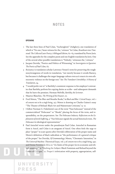#### **NOTES**

#### **OPENING**

- 1 The last three lines of Paul Celan, "Aschenglorie" (Ashglory), one translation of which is "No one / bears witness for the / witness." In Celan, *Breathturn into Timestead: The Collected Later Poetry; A Bilingual Edition*, 62–65, translated by Pierre Joris. See the appendix for the complete poem and one English translation by Joris. One of the several other possible translations is "Nobody / witnesses the / witness."
- 2 Jacques Derrida, "Poetics and Politics of Witnessing," in *Sovereignties in Question: The Poetics of Paul Celan*, 67.
- 3 *Resistancy* is translation scholar Lawrence Venuti's term for preserving the roughness/strangeness of words in translation, "not merely because it avoids fluency, but because it challenges the target-language culture even as it enacts its own ethnocentric violence on the foreign text." See *The Translator's Invisibility: A History of Translation*, 24.
- 4 "I would prefer not to" is Bartleby's consistent response to his employer's entreaties that Bartleby perform his copying duties as scribe—and subsequent demands that he leave the premises. Herman Melville, *Bartleby, the Scrivener*.
- 5 Maurice Blanchot, *The Writing of the Disaster*, 10.

UNIVERSITY

**PRESS** 

- 6 Fred Moten,"The Blur and Breathe Books,"in *Black and Blur: Critical Essays*, vol. 1 of *consent not to be a single being*, 257. Moten is drawing on Charles Gaines's essay "The Theater of Refusal: Black Art and Mainstream Criticism," 13–21.
- 7 I follow Norman G. Finkelstein's use of the term "Nazi holocaust" instead of the commercialized "Holocaust" or "Shoah," placing the focus of the term, and responsibility, on the perpetrators. See *The Holocaust Industry: Reflections on the Exploitation of Jewish Suffering*, 3: "*Nazi holocaust* signals the actual historical event, *The Holocaust* its ideological representation."
- 8 Paul Antschel wrote under the pseudonym Paul Celan. Antschel in Romanian form is Ancel, and Celan is an anagram of Ancel. One often feels the urge to place "proper" in scare quotes after Derrida's obliteration of the proper name and Moten's definition of black radicalism as "the performance of a general critique of the proper." See Derrida, *Of Grammatology*; Moten, "Chromatic Saturation," in *The Universal Machine: Theoretical Essays*, vol. 3 of *consent not to be a single being*, 140; and Denise Ferreira da Silva on "the limits of the proper (in its economic and ethical meanings)" in "Hacking the Subject: Black Feminism and Refusal beyond the Limits of Critique," 22. Proper's imbrication with property, appropriation, self-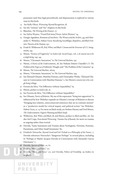possession (and thus legal personhood), and dispossession is explored in various ways in this book.

- 9 See Kelly Oliver, *Witnessing: Beyond Recognition*, 18.
- 10 See the "witness" and "for" chapters in this book.
- 11 Blanchot, *The Writing of the Disaster*, 17.
- 12 See Sylvia Wynter, "*Proud Flesh* Inter/Views: Sylvia Wynter," 24.
- 13 Giorgio Agamben, *Remnants of Auschwitz: The Witness and the Archive*, 44; and Alexander G. Weheliye, *Habeas Viscus: Racializing Assemblages, Biopolitics, and Black Feminist Theories of the Human*, 130.
- 14 Frank B. Wilderson III, *Red, White, and Black: Cinema and the Structure of U.S. Antagonisms*, 143.
- 15 Moten, "Erotics of Fugitivity," in *Stolen Life: Social Essays*, vol. 2 of *consent not to be a single being*, 243–44.
- 16 Moten, "Chromatic Saturation," in *The Universal Machine*, 142.
- 17 Moten, *A Poetics of the Undercommons*, 28. See Nahum Dimitri Chandler's *X: The Problem of the Negro as a Problem for Thought*; and "The Problem of the Centuries," 41.
- 18 Moten, *The Universal Machine*, 262n3.
- 19 Moten, "Chromatic Saturation," in *The Universal Machine*, 194.
- 20 See Édouard Glissant, Manthia Diawara, and Christopher Winks, "Édouard Glissant in Conversation with Manthia Diawara," 5. See Moten's *consent not to be a single being* trilogy.
- 21 Ferreira da Silva, "On Difference without Separability," 65.
- 22 Moten, preface to *Stolen Life*, ix.
- 23 See Ferreira da Silva, "On Difference without Separability."
- 24 See Glissant, *Poetics of Relation*. My use of the expression "bring into apposition" is influenced by how Weheliye expands on Glissant's concept of Relation to discuss "bringing-into-relation…interconnected existences that are in constant motion" as a "productive model for critical inquiry and political action." See Weheliye, *Habeas Viscus*, 12–13. For more on black study, see Stefano Harney and Fred Moten, *The Undercommons: Fugitive Planning and Black Study*.
- 25 Wilderson, *Red, White, and Black*, 18; and Moten, preface to *Black and Blur*, xii. See also Stef Craps, *Postcolonial Witnessing: Trauma Out of Bounds*, for more on trauma as ongoing rather than evental.
- 26 Derrida,"Some Statements and Truisms about Neologisms, Newisms, Postisms, Parasitisms, and Other Small Seismisms," 80.
- 27 Friedrich Nietzsche, *Beyond Good and Evil: Prelude to a Philosophy of the Future*, 7. Derrida references Nietzsche's "dangerous Perhaps" in several places, including in "Perhaps or Maybe: Jacques Derrida in Conversation with Alexander García Düttmann," 2.
- 28 Derrida, *Specters of Marx*, 211, 82.
- 29 Derrida, "Marx and Sons," 221.
- 30 Derrida, "Marx and Sons," 221; and Derrida, *Politics of Friendship*, 29 (italics in original).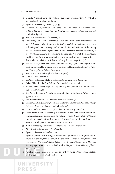- 31 Derrida, "Force of Law: The Mystical Foundation of Authority," 256–57 (italics and brackets in original translation).
- 32 Agamben, *Remnants of Auschwitz*, 156, 39.
- 33 Hortense Spillers, "Mama's Baby, Papa's Maybe: An American Grammar Book," in *Black, White, and in Color: Essays on American Literature and Culture*, 229, 207, 206 (italics in original).
- 34 Moten, *A Poetics of the Undercommons*, 30.
- 35 See Harney and Moten, *The Undercommons*; and Laura Harris, *Experiments in Exile: C. L. R. James, Hélio Oiticica, and the Aesthetic Sociality of Blackness*, 10, 7. Harris is drawing on Peter Linebaugh and Marcus Rediker's description of the motley crew in *The Many-Headed Hydra: Sailors, Slaves, Commoners, and the Hidden History of the Revolutionary Atlantic*, a book Harris describes as a "study of the transatlantic working class of the seventeenth, eighteenth, and early nineteenth centuries, before blackness and citizenship became clearly divided categories" (10).
- 36 Jacques Lacan, *Les non dupes errent* (italics in original). Quoted in a slightly different translation in Slavoj Žižek, Eric L. Santner, and Kenneth Reinhard, *The Neighbor: Three Inquiries in Political Theology*, 71.
- 37 Moten, preface to *Stolen Life*, i (italics in original).
- 38 Derrida, "Force of Law," 244.
- 39 See Gilles Deleuze and Félix Guattari, *Kafka: Toward a Minor Literature*.
- 40 Celan, "The Meridian," in *Collected Prose*, 47 (italics in original).
- 41 Spillers, "Mama's Baby, Papa's Maybe," in *Black, White, and in Color*, 207; and Weheliye, *Habeas Viscus*, 111.
- 42 See Walter Benjamin, "On the Concept of History," in *Selected Writings*, vol. 4, *1938–1940*, 395.
- 43 Jean-François Lyotard, *The Inhuman: Reflections on Time*, 74.
- 44 Glissant, *Poetics of Relation*, 6. John E. Drabinski, *Glissant and the Middle Passage: Philosophy, Beginning, Abyss*, 62 (italics in original).
- 45 Harriet Jacobs, *Incidents in the Life of a Slave Girl: Written by Herself*, 59.
- 46 Poet Carolyn Forché is generally associated with the term "poetry of witness," stemming from her book *Against Forgetting: Twentieth-Century Poetry of Witness*, though the practice of writing "poems of witness" has proliferated from there. See the "for" chapter in this book for further discussion.
- 47 Nathaniel Mackey, *Paracritical Hinge: Essays, Talks, Notes, Interviews*, 309.
- 48 Aimé Césaire, *Discourse on Colonialism*, 36.
- 49 Agamben, *Remnants of Auschwitz*, 70.

UNIVERSITY

**PRESS** 

- 50 Agamben, *Homo Sacer: Sovereign Power and Bare Life*, 8 (italics in original). See, for example, Weheliye, *Habeas Viscus*, 53–56. See also C. Heike Schotten, *Queer Terror: Life, Death, and Desire in the Settler Colony*, 1–30; Jill Jarvis, "Remnants of Muslims: Reading Agamben's Silence"; and Gil Anidjar, *The Jew, the Arab: A History of the Enemy*, 113–49.
- 51 Kim Senguputa, "Israel-Gaza Conflict: Four Boys Killed While Playing Football on Beach after Israeli Warships Open Fire."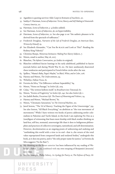- 52 Agamben is quoting survivor Aldo Carpi in *Remnants of Auschwitz*, 50.
- 53 Saidiya V. Hartman, *Scenes of Subjection: Terror, Slavery, and Self-Making in Nineteenth-Century America*, 20.
- 54 Hartman, *Scenes of Subjection*, 3-4 (italics added).
- 55 See Hartman, *Scenes of Subjection*, 36, on hypervisibility.
- 56 Hartman, *Scenes of Subjection*, 22. See also page 21 on "the sadistic pleasure to be derived from the spectacle of sufferance."
- 57 Frederick Douglass, *Narrative of the Life of Frederick Douglass, an American Slave, Written by Himself*, 19.
- 58 See Elizabeth Alexander, "'Can You Be black and Look at This?': Reading the Rodney King Video(s)."
- 59 Christina Sharpe, *Monstrous Intimacies: Making Post-Slavery Subjects*, 7.
- 60 Moten, email to author, May 26, 2017.
- 61 Blanchot, *The Infinite Conversation*, 312 (italics in original).
- 62 Blanchot exhibited fascist leanings in his early adulthood, published in fascist journals before and during World War II, etc. He later assiduously disavowed these tendencies and participated in French leftist circles after the war.
- 63 Spillers, "Mama's Baby, Papa's Maybe," in *Black, White, and in Color*, 206.
- 64 Harney and Moten, *The Undercommons*, 93.
- 65 Weheliye, *Habeas Viscus*, 61.
- 66 Ferreira da Silva, "On Difference without Separability," 64.
- 67 Moten, "Notes on Passage," in *Stolen Life*, 209.
- 68 Celan, "The written hollows itself," in *Breathturn into Timestead*, 67.
- 69 Moten, "Erotics of Fugitivity," in *Stolen Life*, 242. See also *Stolen Life*, i.
- 70 See Judith Butler, *Precarious Life: The Powers of Mourning and Violence*, 24.
- 71 Harney and Moten, "Michael Brown," 82.

UNIVERSITY

**PRESS** 

- 72 Moten, "Chromatic Saturation," in *The Universal Machine*, 212.
- 73 Jared Sexton, "The *Vel* of Slavery: Tracking the Figure of the Unsovereign," 593. See also Sexton, "All Black Everything," on abolition as "the true movement of movements." While I have written two books of poetry addressing settler colonialism in Palestine and Turtle Island, in this book I am exploring No One as a (non)figure of witnessing that bears more kinship with black studies thinking on land-less, self-less, nonnatal, unsovereign life than it does to Indigenous philosophies and practices of collective sovereignty, nationhood, and self-determination. However, decolonization as an ongoing praxis of unknowing and undoing and "unthinking this world with a view to its end—that is…the return of the total value expropriated from conquered lands and enslaved bodies," undergirds this book, as it does my poetry, and is "the only proper name for justice," as Ferreira da Silva suggests ("In the Raw").
- 74 My thinking on the future anterior has been influenced by my reading of Weheliye's *Habeas Viscus*, combined with my own torquing of Benjamin's Jetztzeit/ now-time.
- 75 See, for example, Philip Sidney, *An Apology for Poetry, or, The Defence of Poesy*; Al-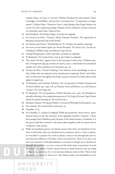exander Pope, *An Essay on Criticism*; William Wordsworth and Samuel Taylor Coleridge, *Lyrical Ballads: 1798 and 1802*; Gertrude Stein, "Composition as Explanation"; Charles Olson, "Projective Verse"; Amiri Baraka, *Blues People*; Moten, the *consent not to be a single being* trilogy; Glissant, *Poetics of Relation*; Césaire, *Discourse on Colonialism*; andCelan, *Collected Prose*.

- 76 Joan Retallack, *The Poethical Wager*, 26 (italics in original).
- 77 See Ferreira da Silva, "Toward a Black Feminist Poethics: The Quest(ion) of Blackness toward the End of the World."
- 78 See Harney and Moten, "Michael Brown," 81: "another city gathers, dancing."
- 79 For more on the lesbian spiral, see Nicole Brossard, *The Aerial Letter*. On the unraveling of a Möbius strip, see Deleuze's *Logic of Sense*.
- 80 Ludwig Wittgenstein, *Culture and Value*, 24 (italics in original).
- 81 W. Benjamin, *The Arcades Project*, N1a, 8, 460 (italics in original).
- 82 The words "du liest" appear twice in the last poem Celan wrote, "Rebleute graben" (Vinegrowers dig up), written on April 13, 1970, a week before he committed suicide. See Celan, *Breathturn into Timestead*, 454–56.
- 83 Ferreira da Silva, "Fractal Thinking." One element of my assemblage to note is that I follow the vast majority of my interlocutors in placing "black" and "blackness" in lowercase throughout this book, except in citations in which these terms appear in uppercase.
- 84 W. Benjamin and Gershom Scholem, *The Correspondence of Walter Benjamin and Gershom Scholem, 1932–1940*, 108–9; Glissant, *Poetics of Relation*, 172; and Deleuze, *Cinema 2: The Time-Image*, 182.
- 85 W. Benjamin, *The Correspondence of Walter Benjamin, 1910–1940*, 256. Benjamin is actually referring to his composition process in *The Origin of German Tragic Drama*, which he further develops in *The Arcades Project*.
- 86 Shoshana Felman, *Writing and Madness: (Literature/Philosophy/Psychoanalysis)*, 254.
- 87 Sara Ahmed, *The Cultural Politics of Emotion*, 91.
- 88 Chandler, *X*, 65.
- 89 See Chandler, *X*, 3 (italics in original). While the putatively "more correct" grammatical choice in the last sentence of the epigraph would be "remains," I chose this passage from Chandler partly because of the indeterminacy of whether it is the prose itself that remains or the prose taken together with its syntax and its "con*fusions*" that remain.
- 90 While my fastidious poetics of citation ensures that there are hundreds of citations in this book, there are hundreds more instances where a word or phrase, or even half or a quarter of a word or phrase, comes to me through the (not-sounconscious) influence of all that I have read and lived. There is no way I can cite every instance of this phenomenon, as no poet (or being) can or should; yet through the accretive, recursive course of this book, these connections do tend to flutter to the surface. Reader, please do bear in mind, however, that one thing I refuse to do every time this (un)conscious influence arises is this: "Here in this sentence I use the word 'dehiscence' that Moten makes such beautiful use of in